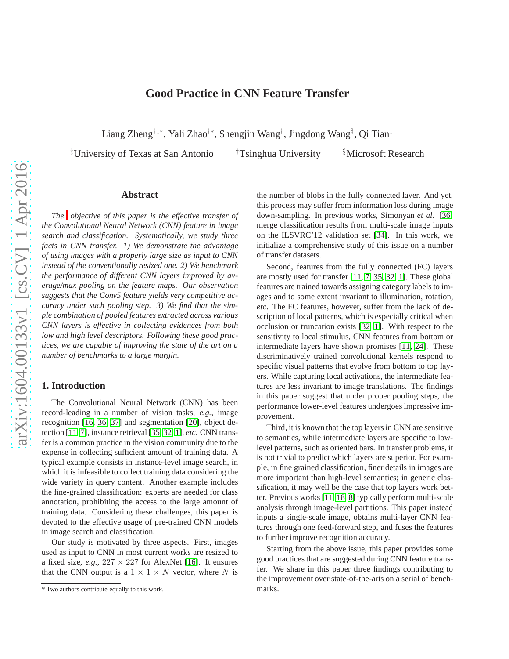# **Good Practice in CNN Feature Transfer**

Liang Zheng†‡∗, Yali Zhao†∗, Shengjin Wang† , Jingdong Wang§ , Qi Tian‡

‡University of Texas at San Antonio †Tsinghua University §Microsoft Research

# **Abstract**

*The objective of this paper is the effective transfer of the Convolutional Neural Network (CNN) feature in image search and classification. Systematically, we study three facts in CNN transfer. 1) We demonstrate the advantage of using images with a properly large size as input to CNN instead of the conventionally resized one. 2) We benchmark the performance of different CNN layers improved by average/max pooling on the feature maps. Our observation suggests that the Conv5 feature yields very competitive accuracy under such pooling step. 3) We find that the simple combination of pooled features extracted across various CNN layers is effective in collecting evidences from both low and high level descriptors. Following these good practices, we are capable of improving the state of the art on a number of benchmarks to a large margin.*

### **1. Introduction**

The Convolutional Neural Network (CNN) has been record-leading in a number of vision tasks, *e.g.,* image recognition [\[16,](#page-8-0) [36,](#page-8-1) [37\]](#page-8-2) and segmentation [\[20\]](#page-8-3), object detection [\[11,](#page-8-4) [7\]](#page-8-5), instance retrieval [\[35,](#page-8-6) [32,](#page-8-7) [1\]](#page-8-8), *etc*. CNN transfer is a common practice in the vision community due to the expense in collecting sufficient amount of training data. A typical example consists in instance-level image search, in which it is infeasible to collect training data considering the wide variety in query content. Another example includes the fine-grained classification: experts are needed for class annotation, prohibiting the access to the large amount of training data. Considering these challenges, this paper is devoted to the effective usage of pre-trained CNN models in image search and classification.

Our study is motivated by three aspects. First, images used as input to CNN in most current works are resized to a fixed size, *e.g.*,  $227 \times 227$  for AlexNet [\[16\]](#page-8-0). It ensures that the CNN output is a  $1 \times 1 \times N$  vector, where N is the number of blobs in the fully connected layer. And yet, this process may suffer from information loss during image down-sampling. In previous works, Simonyan *et al.* [\[36\]](#page-8-1) merge classification results from multi-scale image inputs on the ILSVRC'12 validation set [\[34\]](#page-8-9). In this work, we initialize a comprehensive study of this issue on a number of transfer datasets.

Second, features from the fully connected (FC) layers are mostly used for transfer [\[11,](#page-8-4) [7,](#page-8-5) [35,](#page-8-6) [32,](#page-8-7) [1\]](#page-8-8). These global features are trained towards assigning category labels to images and to some extent invariant to illumination, rotation, *etc*. The FC features, however, suffer from the lack of description of local patterns, which is especially critical when occlusion or truncation exists [\[32,](#page-8-7) [1\]](#page-8-8). With respect to the sensitivity to local stimulus, CNN features from bottom or intermediate layers have shown promises [\[11,](#page-8-4) [24\]](#page-8-10). These discriminatively trained convolutional kernels respond to specific visual patterns that evolve from bottom to top layers. While capturing local activations, the intermediate features are less invariant to image translations. The findings in this paper suggest that under proper pooling steps, the performance lower-level features undergoes impressive improvement.

Third, it is known that the top layers in CNN are sensitive to semantics, while intermediate layers are specific to lowlevel patterns, such as oriented bars. In transfer problems, it is not trivial to predict which layers are superior. For example, in fine grained classification, finer details in images are more important than high-level semantics; in generic classification, it may well be the case that top layers work better. Previous works [\[11,](#page-8-4) [18,](#page-8-11) [8\]](#page-8-12) typically perform multi-scale analysis through image-level partitions. This paper instead inputs a single-scale image, obtains multi-layer CNN features through one feed-forward step, and fuses the features to further improve recognition accuracy.

Starting from the above issue, this paper provides some good practices that are suggested during CNN feature transfer. We share in this paper three findings contributing to the improvement over state-of-the-arts on a serial of benchmarks.

<span id="page-0-0"></span><sup>\*</sup> Two authors contribute equally to this work.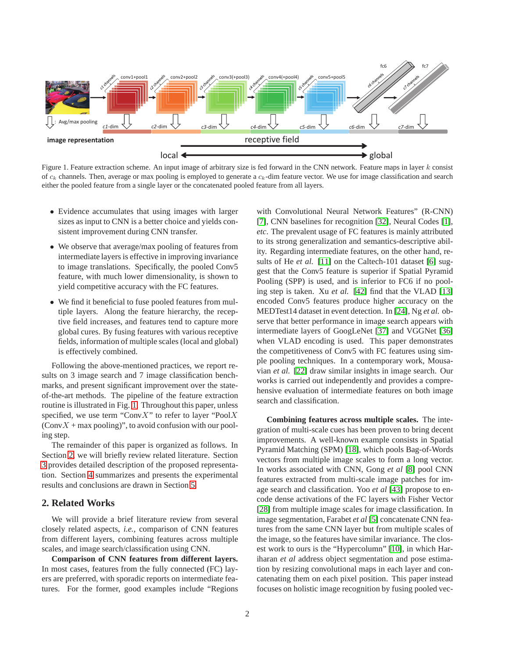

<span id="page-1-0"></span>Figure 1. Feature extraction scheme. An input image of arbitrary size is fed forward in the CNN network. Feature maps in layer k consist of  $c_k$  channels. Then, average or max pooling is employed to generate a  $c_k$ -dim feature vector. We use for image classification and search either the pooled feature from a single layer or the concatenated pooled feature from all layers.

- Evidence accumulates that using images with larger sizes as input to CNN is a better choice and yields consistent improvement during CNN transfer.
- We observe that average/max pooling of features from intermediate layers is effective in improving invariance to image translations. Specifically, the pooled Conv5 feature, with much lower dimensionality, is shown to yield competitive accuracy with the FC features.
- We find it beneficial to fuse pooled features from multiple layers. Along the feature hierarchy, the receptive field increases, and features tend to capture more global cures. By fusing features with various receptive fields, information of multiple scales (local and global) is effectively combined.

Following the above-mentioned practices, we report results on 3 image search and 7 image classification benchmarks, and present significant improvement over the stateof-the-art methods. The pipeline of the feature extraction routine is illustrated in Fig. [1.](#page-1-0) Throughout this paper, unless specified, we use term "Conv $X$ " to refer to layer "Pool $X$  $(ConvX + \text{max pooling})$ ", to avoid confusion with our pooling step.

The remainder of this paper is organized as follows. In Section [2,](#page-1-1) we will briefly review related literature. Section [3](#page-2-0) provides detailed description of the proposed representation. Section [4](#page-3-0) summarizes and presents the experimental results and conclusions are drawn in Section [5.](#page-7-0)

# <span id="page-1-1"></span>**2. Related Works**

We will provide a brief literature review from several closely related aspects, *i.e.,* comparison of CNN features from different layers, combining features across multiple scales, and image search/classification using CNN.

**Comparison of CNN features from different layers.** In most cases, features from the fully connected (FC) layers are preferred, with sporadic reports on intermediate features. For the former, good examples include "Regions with Convolutional Neural Network Features" (R-CNN) [\[7\]](#page-8-5), CNN baselines for recognition [\[32\]](#page-8-7), Neural Codes [\[1\]](#page-8-8), *etc*. The prevalent usage of FC features is mainly attributed to its strong generalization and semantics-descriptive ability. Regarding intermediate features, on the other hand, results of He *et al.* [\[11\]](#page-8-4) on the Caltech-101 dataset [\[6\]](#page-8-13) suggest that the Conv5 feature is superior if Spatial Pyramid Pooling (SPP) is used, and is inferior to FC6 if no pooling step is taken. Xu *et al.* [\[42\]](#page-8-14) find that the VLAD [\[13\]](#page-8-15) encoded Conv5 features produce higher accuracy on the MEDTest14 dataset in event detection. In [\[24\]](#page-8-10), Ng *et al.* observe that better performance in image search appears with intermediate layers of GoogLeNet [\[37\]](#page-8-2) and VGGNet [\[36\]](#page-8-1) when VLAD encoding is used. This paper demonstrates the competitiveness of Conv5 with FC features using simple pooling techniques. In a contemporary work, Mousavian *et al.* [\[22\]](#page-8-16) draw similar insights in image search. Our works is carried out independently and provides a comprehensive evaluation of intermediate features on both image search and classification.

**Combining features across multiple scales.** The integration of multi-scale cues has been proven to bring decent improvements. A well-known example consists in Spatial Pyramid Matching (SPM) [\[18\]](#page-8-11), which pools Bag-of-Words vectors from multiple image scales to form a long vector. In works associated with CNN, Gong *et al* [\[8\]](#page-8-12) pool CNN features extracted from multi-scale image patches for image search and classification. Yoo *et al* [\[43\]](#page-8-17) propose to encode dense activations of the FC layers with Fisher Vector [\[28\]](#page-8-18) from multiple image scales for image classification. In image segmentation, Farabet *et al* [\[5\]](#page-8-19) concatenate CNN features from the same CNN layer but from multiple scales of the image, so the features have similar invariance. The closest work to ours is the "Hypercolumn" [\[10\]](#page-8-20), in which Hariharan *et al* address object segmentation and pose estimation by resizing convolutional maps in each layer and concatenating them on each pixel position. This paper instead focuses on holistic image recognition by fusing pooled vec-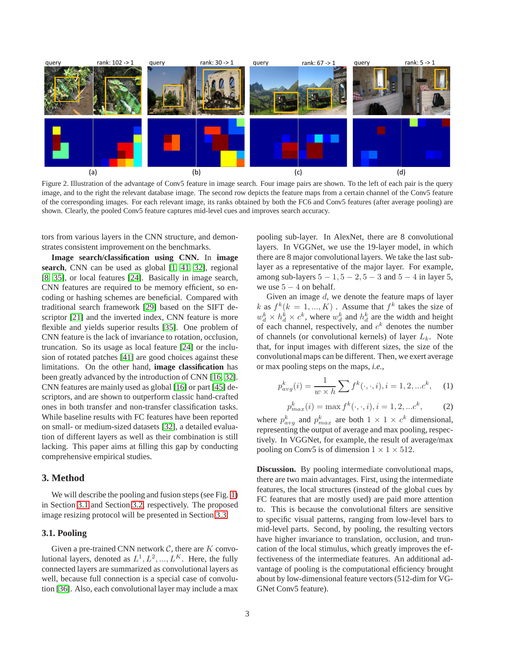

<span id="page-2-2"></span>Figure 2. Illustration of the advantage of Conv5 feature in image search. Four image pairs are shown. To the left of each pair is the query image, and to the right the relevant database image. The second row depicts the feature maps from a certain channel of the Conv5 feature of the corresponding images. For each relevant image, its ranks obtained by both the FC6 and Conv5 features (after average pooling) are shown. Clearly, the pooled Conv5 feature captures mid-level cues and improves search accuracy.

tors from various layers in the CNN structure, and demonstrates consistent improvement on the benchmarks.

**Image search/classification using CNN.** In **image search**, CNN can be used as global [\[1,](#page-8-8) [41,](#page-8-21) [32\]](#page-8-7), regional [\[8,](#page-8-12) [35\]](#page-8-6), or local features [\[24\]](#page-8-10). Basically in image search, CNN features are required to be memory efficient, so encoding or hashing schemes are beneficial. Compared with traditional search framework [\[29\]](#page-8-22) based on the SIFT de-scriptor [\[21\]](#page-8-23) and the inverted index, CNN feature is more flexible and yields superior results [\[35\]](#page-8-6). One problem of CNN feature is the lack of invariance to rotation, occlusion, truncation. So its usage as local feature [\[24\]](#page-8-10) or the inclusion of rotated patches [\[41\]](#page-8-21) are good choices against these limitations. On the other hand, **image classification** has been greatly advanced by the introduction of CNN [\[16,](#page-8-0) [32\]](#page-8-7). CNN features are mainly used as global [\[16\]](#page-8-0) or part [\[45\]](#page-8-24) descriptors, and are shown to outperform classic hand-crafted ones in both transfer and non-transfer classification tasks. While baseline results with FC features have been reported on small- or medium-sized datasets [\[32\]](#page-8-7), a detailed evaluation of different layers as well as their combination is still lacking. This paper aims at filling this gap by conducting comprehensive empirical studies.

# <span id="page-2-0"></span>**3. Method**

We will describe the pooling and fusion steps (see Fig. [1\)](#page-1-0) in Section [3.1](#page-2-1) and Section [3.2,](#page-3-1) respectively. The proposed image resizing protocol will be presented in Section [3.3.](#page-3-2)

# <span id="page-2-1"></span>**3.1. Pooling**

Given a pre-trained CNN network  $C$ , there are  $K$  convolutional layers, denoted as  $L^1, L^2, ..., L^K$ . Here, the fully connected layers are summarized as convolutional layers as well, because full connection is a special case of convolution [\[36\]](#page-8-1). Also, each convolutional layer may include a max pooling sub-layer. In AlexNet, there are 8 convolutional layers. In VGGNet, we use the 19-layer model, in which there are 8 major convolutional layers. We take the last sublayer as a representative of the major layer. For example, among sub-layers  $5 - 1$ ,  $5 - 2$ ,  $5 - 3$  and  $5 - 4$  in layer 5, we use  $5 - 4$  on behalf.

Given an image  $d$ , we denote the feature maps of layer k as  $f^k$ ( $k = 1, ..., K$ ). Assume that  $f^k$  takes the size of  $w_d^k \times h_d^k \times c^k$ , where  $w_d^k$  and  $h_d^k$  are the width and height of each channel, respectively, and  $c<sup>k</sup>$  denotes the number of channels (or convolutional kernels) of layer  $L_k$ . Note that, for input images with different sizes, the size of the convolutional maps can be different. Then, we exert average or max pooling steps on the maps, *i.e.,*

$$
p_{avg}^{k}(i) = \frac{1}{w \times h} \sum f^{k}(\cdot, \cdot, i), i = 1, 2, ... c^{k}, \quad (1)
$$

$$
p_{max}^k(i) = \max f^k(\cdot, \cdot, i), i = 1, 2, \dots c^k,
$$
 (2)

where  $p_{avg}^k$  and  $p_{max}^k$  are both  $1 \times 1 \times c^k$  dimensional, representing the output of average and max pooling, respectively. In VGGNet, for example, the result of average/max pooling on Conv5 is of dimension  $1 \times 1 \times 512$ .

**Discussion.** By pooling intermediate convolutional maps, there are two main advantages. First, using the intermediate features, the local structures (instead of the global cues by FC features that are mostly used) are paid more attention This is because the convolutional filters are sensitive to specific visual patterns, ranging from low-level bars to mid-level parts. Second, by pooling, the resulting vectors have higher invariance to translation, occlusion, and truncation of the local stimulus, which greatly improves the effectiveness of the intermediate features. An additional advantage of pooling is the computational efficiency brought about by low-dimensional feature vectors (512-dim for VG-GNet Conv5 feature).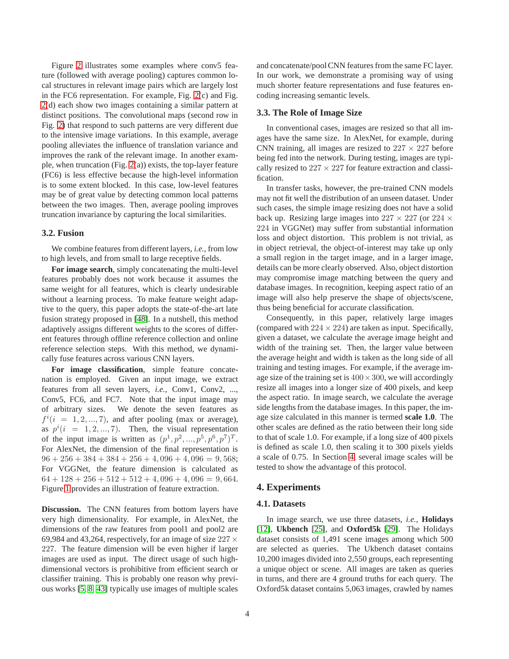Figure [2](#page-2-2) illustrates some examples where conv5 feature (followed with average pooling) captures common local structures in relevant image pairs which are largely lost in the FC6 representation. For example, Fig. [2\(](#page-2-2)c) and Fig. [2\(](#page-2-2)d) each show two images containing a similar pattern at distinct positions. The convolutional maps (second row in Fig. [2\)](#page-2-2) that respond to such patterns are very different due to the intensive image variations. In this example, average pooling alleviates the influence of translation variance and improves the rank of the relevant image. In another example, when truncation (Fig. [2\(](#page-2-2)a)) exists, the top-layer feature (FC6) is less effective because the high-level information is to some extent blocked. In this case, low-level features may be of great value by detecting common local patterns between the two images. Then, average pooling improves truncation invariance by capturing the local similarities.

### <span id="page-3-1"></span>**3.2. Fusion**

We combine features from different layers, *i.e.,* from low to high levels, and from small to large receptive fields.

**For image search**, simply concatenating the multi-level features probably does not work because it assumes the same weight for all features, which is clearly undesirable without a learning process. To make feature weight adaptive to the query, this paper adopts the state-of-the-art late fusion strategy proposed in [\[48\]](#page-8-25). In a nutshell, this method adaptively assigns different weights to the scores of different features through offline reference collection and online reference selection steps. With this method, we dynamically fuse features across various CNN layers.

**For image classification**, simple feature concatenation is employed. Given an input image, we extract features from all seven layers, *i.e.*, Conv1, Conv2, ..., Conv5, FC6, and FC7. Note that the input image may of arbitrary sizes. We denote the seven features as  $f^{i}(i = 1, 2, ..., 7)$ , and after pooling (max or average), as  $p^{i}(i = 1, 2, ..., 7)$ . Then, the visual representation of the input image is written as  $(p^1, p^2, ..., p^5, p^6, p^7)^T$ . For AlexNet, the dimension of the final representation is  $96 + 256 + 384 + 384 + 256 + 4,096 + 4,096 = 9,568;$ For VGGNet, the feature dimension is calculated as  $64 + 128 + 256 + 512 + 512 + 4$ ,  $096 + 4$ ,  $096 = 9$ , 664. Figure [1](#page-1-0) provides an illustration of feature extraction.

**Discussion.** The CNN features from bottom layers have very high dimensionality. For example, in AlexNet, the dimensions of the raw features from pool1 and pool2 are 69,984 and 43,264, respectively, for an image of size  $227 \times$ 227. The feature dimension will be even higher if larger images are used as input. The direct usage of such highdimensional vectors is prohibitive from efficient search or classifier training. This is probably one reason why previous works [\[5,](#page-8-19) [8,](#page-8-12) [43\]](#page-8-17) typically use images of multiple scales

and concatenate/pool CNN features from the same FC layer. In our work, we demonstrate a promising way of using much shorter feature representations and fuse features encoding increasing semantic levels.

#### <span id="page-3-2"></span>**3.3. The Role of Image Size**

In conventional cases, images are resized so that all images have the same size. In AlexNet, for example, during CNN training, all images are resized to  $227 \times 227$  before being fed into the network. During testing, images are typically resized to  $227 \times 227$  for feature extraction and classification.

In transfer tasks, however, the pre-trained CNN models may not fit well the distribution of an unseen dataset. Under such cases, the simple image resizing does not have a solid back up. Resizing large images into  $227 \times 227$  (or  $224 \times$ 224 in VGGNet) may suffer from substantial information loss and object distortion. This problem is not trivial, as in object retrieval, the object-of-interest may take up only a small region in the target image, and in a larger image, details can be more clearly observed. Also, object distortion may compromise image matching between the query and database images. In recognition, keeping aspect ratio of an image will also help preserve the shape of objects/scene, thus being beneficial for accurate classification.

Consequently, in this paper, relatively large images (compared with  $224 \times 224$ ) are taken as input. Specifically, given a dataset, we calculate the average image height and width of the training set. Then, the larger value between the average height and width is taken as the long side of all training and testing images. For example, if the average image size of the training set is  $400 \times 300$ , we will accordingly resize all images into a longer size of 400 pixels, and keep the aspect ratio. In image search, we calculate the average side lengths from the database images. In this paper, the image size calculated in this manner is termed **scale 1.0**. The other scales are defined as the ratio between their long side to that of scale 1.0. For example, if a long size of 400 pixels is defined as scale 1.0, then scaling it to 300 pixels yields a scale of 0.75. In Section [4,](#page-3-0) several image scales will be tested to show the advantage of this protocol.

#### <span id="page-3-0"></span>**4. Experiments**

#### **4.1. Datasets**

In image search, we use three datasets, *i.e.,* **Holidays** [\[12\]](#page-8-26), **Ukbench** [\[25\]](#page-8-27), and **Oxford5k** [\[29\]](#page-8-22). The Holidays dataset consists of 1,491 scene images among which 500 are selected as queries. The Ukbench dataset contains 10,200 images divided into 2,550 groups, each representing a unique object or scene. All images are taken as queries in turns, and there are 4 ground truths for each query. The Oxford5k dataset contains 5,063 images, crawled by names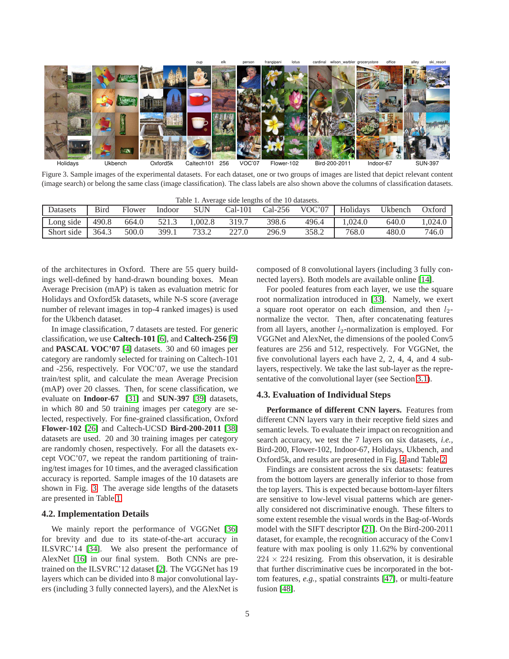

Figure 3. Sample images of the experimental datasets. For each dataset, one or two groups of images are listed that depict relevant content (image search) or belong the same class (image classification). The class labels are also shown above the columns of classification datasets.

<span id="page-4-0"></span>

| Table 1. Average side lengths of the 10 datasets. |       |        |        |        |           |           |        |          |         |         |
|---------------------------------------------------|-------|--------|--------|--------|-----------|-----------|--------|----------|---------|---------|
| Datasets                                          | Bird  | Flower | Indoor | SUN    | $Cal-101$ | $Cal-256$ | VOC'07 | Holidays | Ukbench | Oxford  |
| Long side                                         | 490.8 | 664.0  | 521.3  | .002.8 | 319.7     | 398.6     | 496.4  | .024.0   | 640.0   | 1.024.0 |
| Short side                                        | 364.3 | 500.0  | 399.1  | 733.2  | 227.0     | 296.9     | 358.2  | 768.0    | 480.0   | 746.0   |

of the architectures in Oxford. There are 55 query buildings well-defined by hand-drawn bounding boxes. Mean Average Precision (mAP) is taken as evaluation metric for Holidays and Oxford5k datasets, while N-S score (average number of relevant images in top-4 ranked images) is used for the Ukbench dataset.

In image classification, 7 datasets are tested. For generic classification, we use **Caltech-101** [\[6\]](#page-8-13), and **Caltech-256** [\[9\]](#page-8-28) and **PASCAL VOC'07** [\[4\]](#page-8-29) datasets. 30 and 60 images per category are randomly selected for training on Caltech-101 and -256, respectively. For VOC'07, we use the standard train/test split, and calculate the mean Average Precision (mAP) over 20 classes. Then, for scene classification, we evaluate on **Indoor-67** [\[31\]](#page-8-30) and **SUN-397** [\[39\]](#page-8-31) datasets, in which 80 and 50 training images per category are selected, respectively. For fine-grained classification, Oxford **Flower-102** [\[26\]](#page-8-32) and Caltech-UCSD **Bird-200-2011** [\[38\]](#page-8-33) datasets are used. 20 and 30 training images per category are randomly chosen, respectively. For all the datasets except VOC'07, we repeat the random partitioning of training/test images for 10 times, and the averaged classification accuracy is reported. Sample images of the 10 datasets are shown in Fig. [3.](#page-4-0) The average side lengths of the datasets are presented in Table [1.](#page-4-1)

#### **4.2. Implementation Details**

We mainly report the performance of VGGNet [\[36\]](#page-8-1) for brevity and due to its state-of-the-art accuracy in ILSVRC'14 [\[34\]](#page-8-9). We also present the performance of AlexNet [\[16\]](#page-8-0) in our final system. Both CNNs are pretrained on the ILSVRC'12 dataset [\[2\]](#page-8-34). The VGGNet has 19 layers which can be divided into 8 major convolutional layers (including 3 fully connected layers), and the AlexNet is

<span id="page-4-1"></span>composed of 8 convolutional layers (including 3 fully connected layers). Both models are available online [\[14\]](#page-8-35).

For pooled features from each layer, we use the square root normalization introduced in [\[33\]](#page-8-36). Namely, we exert a square root operator on each dimension, and then  $l_2$ normalize the vector. Then, after concatenating features from all layers, another  $l_2$ -normalization is employed. For VGGNet and AlexNet, the dimensions of the pooled Conv5 features are 256 and 512, respectively. For VGGNet, the five convolutional layers each have 2, 2, 4, 4, and 4 sublayers, respectively. We take the last sub-layer as the representative of the convolutional layer (see Section [3.1\)](#page-2-1).

#### **4.3. Evaluation of Individual Steps**

**Performance of different CNN layers.** Features from different CNN layers vary in their receptive field sizes and semantic levels. To evaluate their impact on recognition and search accuracy, we test the 7 layers on six datasets, *i.e.,* Bird-200, Flower-102, Indoor-67, Holidays, Ukbench, and Oxford5k, and results are presented in Fig. [4](#page-5-0) and Table [2.](#page-5-1)

Findings are consistent across the six datasets: features from the bottom layers are generally inferior to those from the top layers. This is expected because bottom-layer filters are sensitive to low-level visual patterns which are generally considered not discriminative enough. These filters to some extent resemble the visual words in the Bag-of-Words model with the SIFT descriptor [\[21\]](#page-8-23). On the Bird-200-2011 dataset, for example, the recognition accuracy of the Conv1 feature with max pooling is only 11.62% by conventional  $224 \times 224$  resizing. From this observation, it is desirable that further discriminative cues be incorporated in the bottom features, *e.g.,* spatial constraints [\[47\]](#page-8-37), or multi-feature fusion [\[48\]](#page-8-25).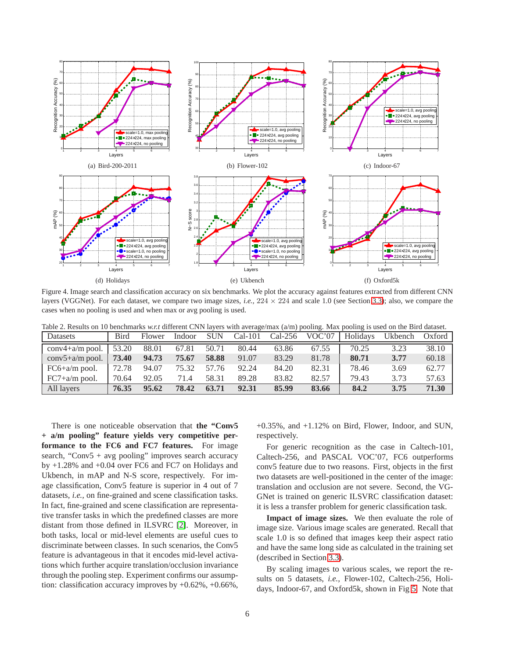

<span id="page-5-0"></span>Figure 4. Image search and classification accuracy on six benchmarks. We plot the accuracy against features extracted from different CNN layers (VGGNet). For each dataset, we compare two image sizes, *i.e.*,  $224 \times 224$  and scale 1.0 (see Section [3.3\)](#page-3-2); also, we compare the cases when no pooling is used and when max or avg pooling is used.

<span id="page-5-1"></span>

| Table 2. Results on 10 benchmarks w.r.t different CNN layers with average/max $(a/m)$ pooling. Max pooling is used on the Bird dataset. |  |  |             |  |       |       |       |                                                                       |      |       |
|-----------------------------------------------------------------------------------------------------------------------------------------|--|--|-------------|--|-------|-------|-------|-----------------------------------------------------------------------|------|-------|
| Datasets                                                                                                                                |  |  |             |  |       |       |       | Bird Flower Indoor SUN Cal-101 Cal-256 VOC'07 Holidays Ukbench Oxford |      |       |
| conv4+a/m pool.   53.20 88.01 67.81 50.71                                                                                               |  |  |             |  | 80.44 | 63.86 | 67.55 | 70.25                                                                 | 3.23 | 38.10 |
| conv5+a/m pool.   <b>73.40</b> 94.73                                                                                                    |  |  | 75.67 58.88 |  | 91.07 | 83.29 | 81.78 | 80.71                                                                 | 3.77 | 60.18 |

FC6+a/m pool. 72.78 94.07 75.32 57.76 92.24 84.20 82.31 78.46 3.69 62.77 FC7+a/m pool. 70.64 92.05 71.4 58.31 89.28 83.82 82.57 79.43 3.73 57.63 All layers **76.35 95.62 78.42 63.71 92.31 85.99 83.66 84.2 3.75 71.30**

There is one noticeable observation that **the "Conv5 + a/m pooling" feature yields very competitive performance to the FC6 and FC7 features.** For image search, "Conv $5 + avg$  pooling" improves search accuracy by +1.28% and +0.04 over FC6 and FC7 on Holidays and Ukbench, in mAP and N-S score, respectively. For image classification, Conv5 feature is superior in 4 out of 7 datasets, *i.e.,* on fine-grained and scene classification tasks. In fact, fine-grained and scene classification are representative transfer tasks in which the predefined classes are more distant from those defined in ILSVRC [\[2\]](#page-8-34). Moreover, in both tasks, local or mid-level elements are useful cues to discriminate between classes. In such scenarios, the Conv5 feature is advantageous in that it encodes mid-level activations which further acquire translation/occlusion invariance through the pooling step. Experiment confirms our assumption: classification accuracy improves by +0.62%, +0.66%,

+0.35%, and +1.12% on Bird, Flower, Indoor, and SUN, respectively.

For generic recognition as the case in Caltech-101, Caltech-256, and PASCAL VOC'07, FC6 outperforms conv5 feature due to two reasons. First, objects in the first two datasets are well-positioned in the center of the image: translation and occlusion are not severe. Second, the VG-GNet is trained on generic ILSVRC classification dataset: it is less a transfer problem for generic classification task.

**Impact of image sizes.** We then evaluate the role of image size. Various image scales are generated. Recall that scale 1.0 is so defined that images keep their aspect ratio and have the same long side as calculated in the training set (described in Section [3.3\)](#page-3-2).

By scaling images to various scales, we report the results on 5 datasets, *i.e.,* Flower-102, Caltech-256, Holidays, Indoor-67, and Oxford5k, shown in Fig [5.](#page-6-0) Note that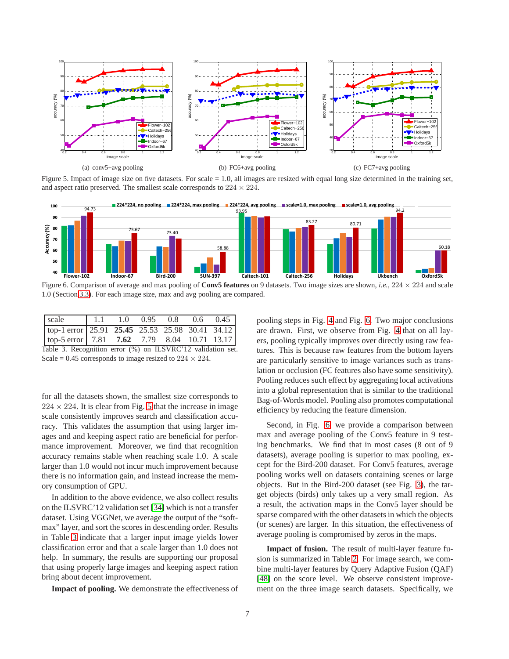

<span id="page-6-0"></span>Figure 5. Impact of image size on five datasets. For scale = 1.0, all images are resized with equal long size determined in the training set, and aspect ratio preserved. The smallest scale corresponds to  $224 \times 224$ .



<span id="page-6-2"></span>Figure 6. Comparison of average and max pooling of **Conv5 features** on 9 datasets. Two image sizes are shown, *i.e.*,  $224 \times 224$  and scale 1.0 (Section [3.3\)](#page-3-2). For each image size, max and avg pooling are compared.

| scale                                                                                                    | 1.1 |  |  |  |  | $1.0$ $0.95$ $0.8$ $0.6$ $0.45$ |
|----------------------------------------------------------------------------------------------------------|-----|--|--|--|--|---------------------------------|
| $\boxed{\text{top-1 error} \mid 25.91 \quad 25.45 \quad 25.53 \quad 25.98 \quad 30.41 \quad 34.12 \mid}$ |     |  |  |  |  |                                 |
| $\lceil \text{top-5 error} \rceil$ 7.81 7.62 7.79 8.04 10.71 13.17                                       |     |  |  |  |  |                                 |
| Table 3. Recognition error (%) on ILSVRC'12 validation set.                                              |     |  |  |  |  |                                 |

<span id="page-6-1"></span>Scale = 0.45 corresponds to image resized to  $224 \times 224$ .

for all the datasets shown, the smallest size corresponds to  $224 \times 224$ . It is clear from Fig. [5](#page-6-0) that the increase in image scale consistently improves search and classification accuracy. This validates the assumption that using larger images and and keeping aspect ratio are beneficial for performance improvement. Moreover, we find that recognition accuracy remains stable when reaching scale 1.0. A scale larger than 1.0 would not incur much improvement because there is no information gain, and instead increase the memory consumption of GPU.

In addition to the above evidence, we also collect results on the ILSVRC'12 validation set [\[34\]](#page-8-9) which is not a transfer dataset. Using VGGNet, we average the output of the "softmax" layer, and sort the scores in descending order. Results in Table [3](#page-6-1) indicate that a larger input image yields lower classification error and that a scale larger than 1.0 does not help. In summary, the results are supporting our proposal that using properly large images and keeping aspect ration bring about decent improvement.

**Impact of pooling.** We demonstrate the effectiveness of

pooling steps in Fig. [4](#page-5-0) and Fig. [6.](#page-6-2) Two major conclusions are drawn. First, we observe from Fig. [4](#page-5-0) that on all layers, pooling typically improves over directly using raw features. This is because raw features from the bottom layers are particularly sensitive to image variances such as translation or occlusion (FC features also have some sensitivity). Pooling reduces such effect by aggregating local activations into a global representation that is similar to the traditional Bag-of-Words model. Pooling also promotes computational efficiency by reducing the feature dimension.

Second, in Fig. [6,](#page-6-2) we provide a comparison between max and average pooling of the Conv5 feature in 9 testing benchmarks. We find that in most cases (8 out of 9 datasets), average pooling is superior to max pooling, except for the Bird-200 dataset. For Conv5 features, average pooling works well on datasets containing scenes or large objects. But in the Bird-200 dataset (see Fig. [3\)](#page-4-0), the target objects (birds) only takes up a very small region. As a result, the activation maps in the Conv5 layer should be sparse compared with the other datasets in which the objects (or scenes) are larger. In this situation, the effectiveness of average pooling is compromised by zeros in the maps.

**Impact of fusion.** The result of multi-layer feature fusion is summarized in Table [2.](#page-5-1) For image search, we combine multi-layer features by Query Adaptive Fusion (QAF) [\[48\]](#page-8-25) on the score level. We observe consistent improvement on the three image search datasets. Specifically, we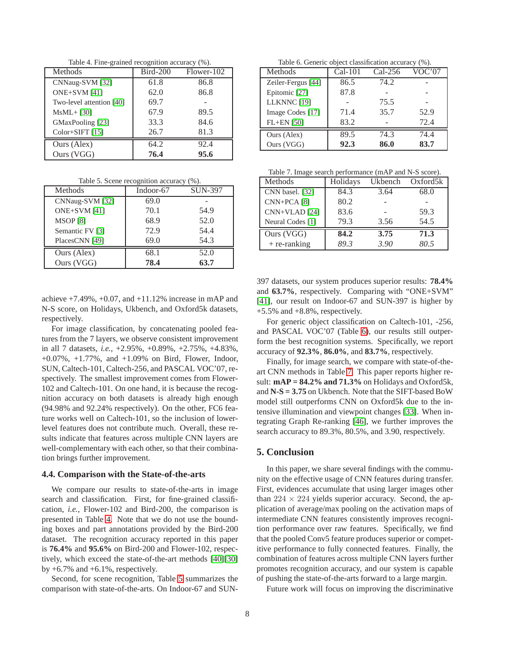<span id="page-7-1"></span>Table 4. Fine-grained recognition accuracy (%).

| Methods                  | <b>Bird-200</b> | Flower-102 |
|--------------------------|-----------------|------------|
| CNNaug-SVM [32]          | 61.8            | 86.8       |
| ONE+SVM [41]             | 62.0            | 86.8       |
| Two-level attention [40] | 69.7            |            |
| $MsML+$ [30]             | 67.9            | 89.5       |
| GMaxPooling [23]         | 33.3            | 84.6       |
| Color+SIFT [15]          | 26.7            | 81.3       |
| Ours (Alex)              | 64.2            | 92.4       |
| Ours (VGG)               | 76.4            | 95.6       |

<span id="page-7-2"></span>Table 5. Scene recognition accuracy (%).

| Methods         | Indoor-67 | <b>SUN-397</b> |
|-----------------|-----------|----------------|
| CNNaug-SVM [32] | 69.0      |                |
| ONE+SVM [41]    | 70.1      | 54.9           |
| <b>MSOP</b> [8] | 68.9      | 52.0           |
| Semantic FV [3] | 72.9      | 54.4           |
| PlacesCNN [49]  | 69.0      | 54.3           |
| Ours (Alex)     | 68.1      | 52.0           |
| Ours (VGG)      | 78.4      | 63.7           |

achieve  $+7.49\%$ ,  $+0.07$ , and  $+11.12\%$  increase in mAP and N-S score, on Holidays, Ukbench, and Oxford5k datasets, respectively.

For image classification, by concatenating pooled features from the 7 layers, we observe consistent improvement in all 7 datasets, *i.e.,* +2.95%, +0.89%, +2.75%, +4.83%, +0.07%, +1.77%, and +1.09% on Bird, Flower, Indoor, SUN, Caltech-101, Caltech-256, and PASCAL VOC'07, respectively. The smallest improvement comes from Flower-102 and Caltech-101. On one hand, it is because the recognition accuracy on both datasets is already high enough (94.98% and 92.24% respectively). On the other, FC6 feature works well on Caltech-101, so the inclusion of lowerlevel features does not contribute much. Overall, these results indicate that features across multiple CNN layers are well-complementary with each other, so that their combination brings further improvement.

#### **4.4. Comparison with the State-of-the-arts**

We compare our results to state-of-the-arts in image search and classification. First, for fine-grained classification, *i.e.,* Flower-102 and Bird-200, the comparison is presented in Table [4.](#page-7-1) Note that we do not use the bounding boxes and part annotations provided by the Bird-200 dataset. The recognition accuracy reported in this paper is **76.4%** and **95.6%** on Bird-200 and Flower-102, respectively, which exceed the state-of-the-art methods [\[40\]](#page-8-38)[\[30\]](#page-8-39) by  $+6.7\%$  and  $+6.1\%$ , respectively.

Second, for scene recognition, Table [5](#page-7-2) summarizes the comparison with state-of-the-arts. On Indoor-67 and SUN-

<span id="page-7-3"></span>Table 6. Generic object classification accuracy (%).

| Methods            | $Cal-101$ | $Cal-256$ | VOC'07 |
|--------------------|-----------|-----------|--------|
| Zeiler-Fergus [44] | 86.5      | 74.2      |        |
| Epitomic [27]      | 87.8      |           |        |
| LLKNNC [19]        |           | 75.5      |        |
| Image Codes [17]   | 71.4      | 35.7      | 52.9   |
| $FL+EN$ [50]       | 83.2      |           | 72.4   |
| Ours (Alex)        | 89.5      | 74.3      | 74.4   |
| Ours (VGG)         | 92.3      | 86.0      | 83.7   |

<span id="page-7-4"></span>Table 7. Image search performance (mAP and N-S score).

| Methods                  | Holidays | Ukbench | Oxford <sub>5</sub> k |
|--------------------------|----------|---------|-----------------------|
| CNN basel. [32]          | 84.3     | 3.64    | 68.0                  |
| $CNN+PCA[8]$             | 80.2     |         |                       |
| CNN+VLAD <sup>[24]</sup> | 83.6     |         | 59.3                  |
| Neural Codes [1]         | 79.3     | 3.56    | 54.5                  |
| Ours (VGG)               | 84.2     | 3.75    | 71.3                  |
| + re-ranking             | 89.3     | 3.90    | 80.5                  |

397 datasets, our system produces superior results: **78.4%** and **63.7%**, respectively. Comparing with "ONE+SVM" [\[41\]](#page-8-21), our result on Indoor-67 and SUN-397 is higher by  $+5.5\%$  and  $+8.8\%$ , respectively.

For generic object classification on Caltech-101, -256, and PASCAL VOC'07 (Table [6\)](#page-7-3), our results still outperform the best recognition systems. Specifically, we report accuracy of **92.3%**, **86.0%**, and **83.7%**, respectively.

Finally, for image search, we compare with state-of-theart CNN methods in Table [7.](#page-7-4) This paper reports higher result: **mAP = 84.2% and 71.3%** on Holidays and Oxford5k, and **N-S = 3.75** on Ukbench. Note that the SIFT-based BoW model still outperforms CNN on Oxford5k due to the intensive illumination and viewpoint changes [\[33\]](#page-8-36). When integrating Graph Re-ranking [\[46\]](#page-8-49), we further improves the search accuracy to 89.3%, 80.5%, and 3.90, respectively.

# <span id="page-7-0"></span>**5. Conclusion**

In this paper, we share several findings with the community on the effective usage of CNN features during transfer. First, evidences accumulate that using larger images other than  $224 \times 224$  yields superior accuracy. Second, the application of average/max pooling on the activation maps of intermediate CNN features consistently improves recognition performance over raw features. Specifically, we find that the pooled Conv5 feature produces superior or competitive performance to fully connected features. Finally, the combination of features across multiple CNN layers further promotes recognition accuracy, and our system is capable of pushing the state-of-the-arts forward to a large margin.

Future work will focus on improving the discriminative